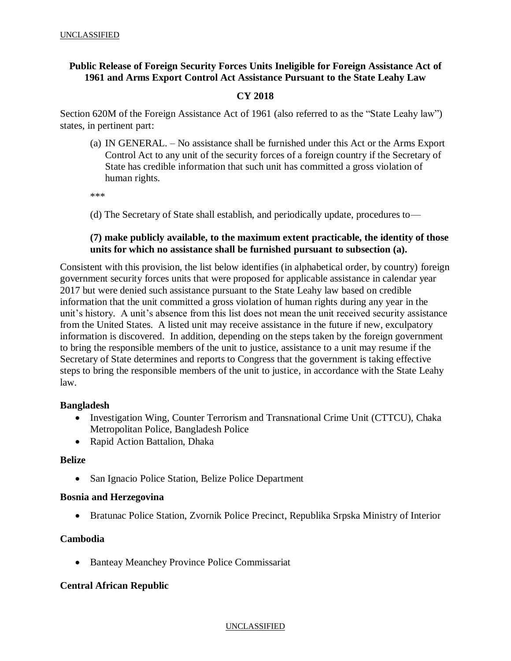# **Public Release of Foreign Security Forces Units Ineligible for Foreign Assistance Act of 1961 and Arms Export Control Act Assistance Pursuant to the State Leahy Law**

## **CY 2018**

Section 620M of the Foreign Assistance Act of 1961 (also referred to as the "State Leahy law") states, in pertinent part:

(a) IN GENERAL. – No assistance shall be furnished under this Act or the Arms Export Control Act to any unit of the security forces of a foreign country if the Secretary of State has credible information that such unit has committed a gross violation of human rights.

\*\*\*

(d) The Secretary of State shall establish, and periodically update, procedures to—

## **(7) make publicly available, to the maximum extent practicable, the identity of those units for which no assistance shall be furnished pursuant to subsection (a).**

Consistent with this provision, the list below identifies (in alphabetical order, by country) foreign government security forces units that were proposed for applicable assistance in calendar year 2017 but were denied such assistance pursuant to the State Leahy law based on credible information that the unit committed a gross violation of human rights during any year in the unit's history. A unit's absence from this list does not mean the unit received security assistance from the United States. A listed unit may receive assistance in the future if new, exculpatory information is discovered. In addition, depending on the steps taken by the foreign government to bring the responsible members of the unit to justice, assistance to a unit may resume if the Secretary of State determines and reports to Congress that the government is taking effective steps to bring the responsible members of the unit to justice, in accordance with the State Leahy law.

### **Bangladesh**

- Investigation Wing, Counter Terrorism and Transnational Crime Unit (CTTCU), Chaka Metropolitan Police, Bangladesh Police
- Rapid Action Battalion, Dhaka

### **Belize**

• San Ignacio Police Station, Belize Police Department

### **Bosnia and Herzegovina**

• Bratunac Police Station, Zvornik Police Precinct, Republika Srpska Ministry of Interior

## **Cambodia**

Banteay Meanchey Province Police Commissariat

### **Central African Republic**

#### UNCLASSIFIED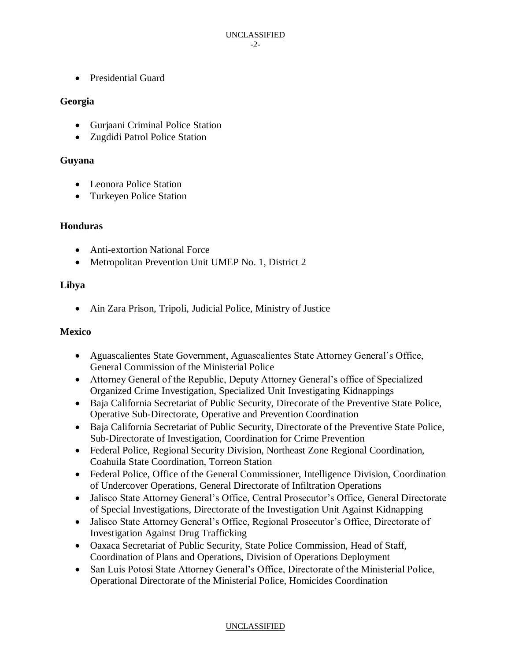Presidential Guard

## **Georgia**

- Gurjaani Criminal Police Station
- Zugdidi Patrol Police Station

## **Guyana**

- Leonora Police Station
- Turkeyen Police Station

### **Honduras**

- Anti-extortion National Force
- Metropolitan Prevention Unit UMEP No. 1, District 2

## **Libya**

Ain Zara Prison, Tripoli, Judicial Police, Ministry of Justice

### **Mexico**

- Aguascalientes State Government, Aguascalientes State Attorney General's Office, General Commission of the Ministerial Police
- Attorney General of the Republic, Deputy Attorney General's office of Specialized Organized Crime Investigation, Specialized Unit Investigating Kidnappings
- Baja California Secretariat of Public Security, Direcorate of the Preventive State Police, Operative Sub-Directorate, Operative and Prevention Coordination
- Baja California Secretariat of Public Security, Directorate of the Preventive State Police, Sub-Directorate of Investigation, Coordination for Crime Prevention
- Federal Police, Regional Security Division, Northeast Zone Regional Coordination, Coahuila State Coordination, Torreon Station
- Federal Police, Office of the General Commissioner, Intelligence Division, Coordination of Undercover Operations, General Directorate of Infiltration Operations
- Jalisco State Attorney General's Office, Central Prosecutor's Office, General Directorate of Special Investigations, Directorate of the Investigation Unit Against Kidnapping
- Jalisco State Attorney General's Office, Regional Prosecutor's Office, Directorate of Investigation Against Drug Trafficking
- Oaxaca Secretariat of Public Security, State Police Commission, Head of Staff, Coordination of Plans and Operations, Division of Operations Deployment
- San Luis Potosi State Attorney General's Office, Directorate of the Ministerial Police, Operational Directorate of the Ministerial Police, Homicides Coordination

### UNCLASSIFIED